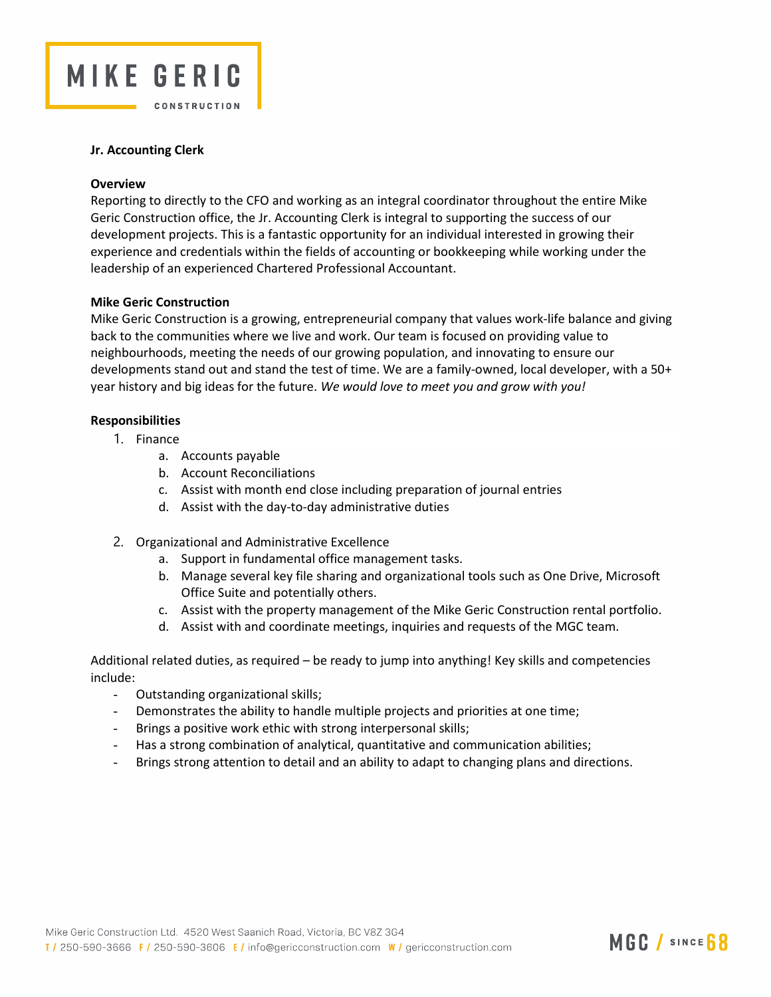

## Jr. Accounting Clerk

#### **Overview**

Reporting to directly to the CFO and working as an integral coordinator throughout the entire Mike Geric Construction office, the Jr. Accounting Clerk is integral to supporting the success of our development projects. This is a fantastic opportunity for an individual interested in growing their experience and credentials within the fields of accounting or bookkeeping while working under the leadership of an experienced Chartered Professional Accountant.

#### Mike Geric Construction

Mike Geric Construction is a growing, entrepreneurial company that values work-life balance and giving back to the communities where we live and work. Our team is focused on providing value to neighbourhoods, meeting the needs of our growing population, and innovating to ensure our developments stand out and stand the test of time. We are a family-owned, local developer, with a 50+ year history and big ideas for the future. We would love to meet you and grow with you!

# Responsibilities

- 1. Finance
	- a. Accounts payable
	- b. Account Reconciliations
	- c. Assist with month end close including preparation of journal entries
	- d. Assist with the day-to-day administrative duties
- 2. Organizational and Administrative Excellence
	- a. Support in fundamental office management tasks.
	- b. Manage several key file sharing and organizational tools such as One Drive, Microsoft Office Suite and potentially others.
	- c. Assist with the property management of the Mike Geric Construction rental portfolio.
	- d. Assist with and coordinate meetings, inquiries and requests of the MGC team.

Additional related duties, as required – be ready to jump into anything! Key skills and competencies include:

- Outstanding organizational skills;
- Demonstrates the ability to handle multiple projects and priorities at one time;
- Brings a positive work ethic with strong interpersonal skills;
- Has a strong combination of analytical, quantitative and communication abilities;
- Brings strong attention to detail and an ability to adapt to changing plans and directions.